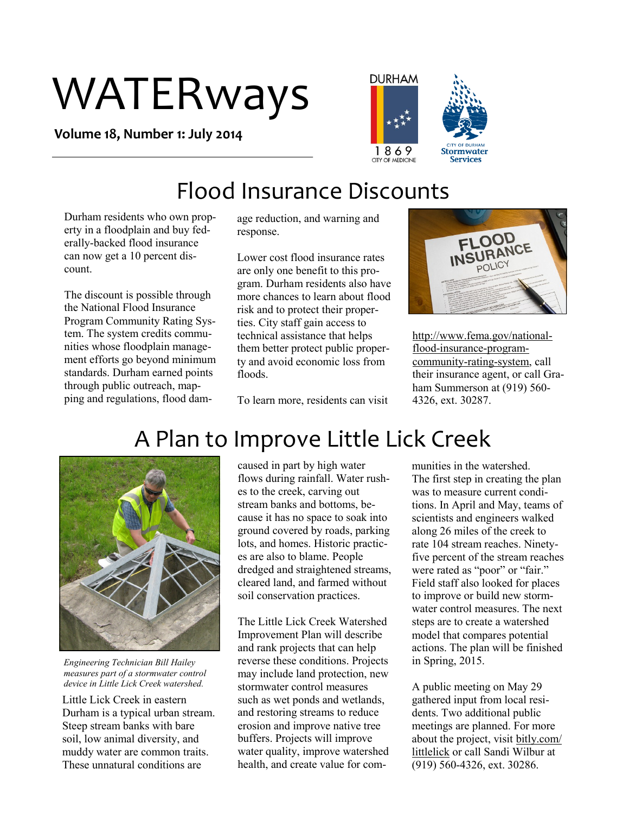# WATERways

**Volume 18, Number 1: July 2014**



### Flood Insurance Discounts

Durham residents who own property in a floodplain and buy federally-backed flood insurance can now get a 10 percent discount.

The discount is possible through the National Flood Insurance Program Community Rating System. The system credits communities whose floodplain management efforts go beyond minimum standards. Durham earned points through public outreach, mapping and regulations, flood damage reduction, and warning and response.

Lower cost flood insurance rates are only one benefit to this program. Durham residents also have more chances to learn about flood risk and to protect their properties. City staff gain access to technical assistance that helps them better protect public property and avoid economic loss from floods.

To learn more, residents can visit



http://www.fema.gov/nationalflood-insurance-programcommunity-rating-system, call their insurance agent, or call Graham Summerson at (919) 560- 4326, ext. 30287.



*Engineering Technician Bill Hailey measures part of a stormwater control device in Little Lick Creek watershed.* 

Little Lick Creek in eastern Durham is a typical urban stream. Steep stream banks with bare soil, low animal diversity, and muddy water are common traits. These unnatural conditions are

caused in part by high water flows during rainfall. Water rushes to the creek, carving out stream banks and bottoms, because it has no space to soak into ground covered by roads, parking lots, and homes. Historic practices are also to blame. People dredged and straightened streams, cleared land, and farmed without soil conservation practices.

The Little Lick Creek Watershed Improvement Plan will describe and rank projects that can help reverse these conditions. Projects may include land protection, new stormwater control measures such as wet ponds and wetlands, and restoring streams to reduce erosion and improve native tree buffers. Projects will improve water quality, improve watershed health, and create value for communities in the watershed. The first step in creating the plan was to measure current conditions. In April and May, teams of scientists and engineers walked along 26 miles of the creek to rate 104 stream reaches. Ninetyfive percent of the stream reaches were rated as "poor" or "fair." Field staff also looked for places to improve or build new stormwater control measures. The next steps are to create a watershed model that compares potential actions. The plan will be finished in Spring, 2015.

A public meeting on May 29 gathered input from local residents. Two additional public meetings are planned. For more about the project, visit bitly.com/ littlelick or call Sandi Wilbur at (919) 560-4326, ext. 30286.